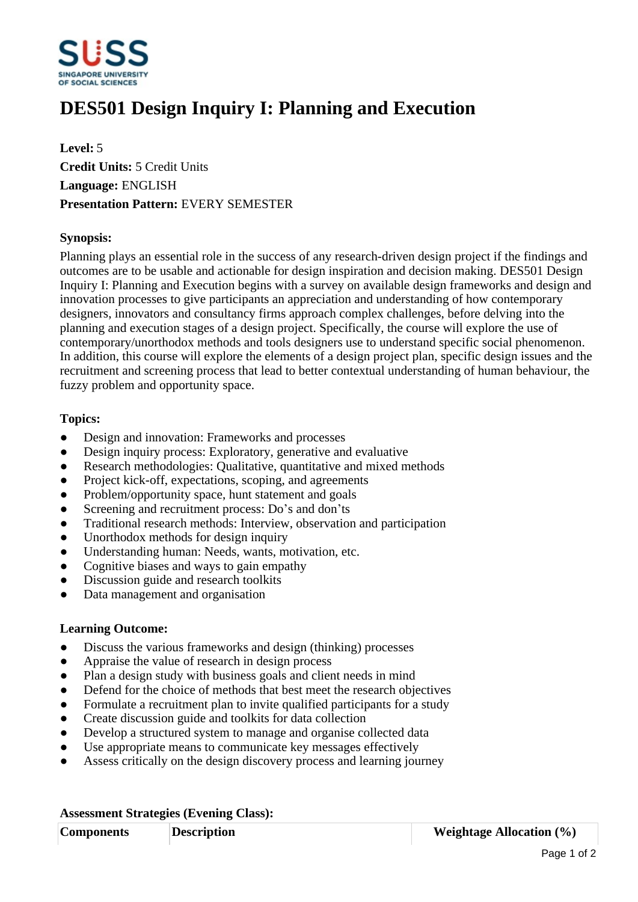

## **DES501 Design Inquiry I: Planning and Execution**

**Level:** 5 **Credit Units:** 5 Credit Units **Language:** ENGLISH **Presentation Pattern:** EVERY SEMESTER

## **Synopsis:**

Planning plays an essential role in the success of any research-driven design project if the findings and outcomes are to be usable and actionable for design inspiration and decision making. DES501 Design Inquiry I: Planning and Execution begins with a survey on available design frameworks and design and innovation processes to give participants an appreciation and understanding of how contemporary designers, innovators and consultancy firms approach complex challenges, before delving into the planning and execution stages of a design project. Specifically, the course will explore the use of contemporary/unorthodox methods and tools designers use to understand specific social phenomenon. In addition, this course will explore the elements of a design project plan, specific design issues and the recruitment and screening process that lead to better contextual understanding of human behaviour, the fuzzy problem and opportunity space.

## **Topics:**

- Design and innovation: Frameworks and processes
- Design inquiry process: Exploratory, generative and evaluative
- Research methodologies: Qualitative, quantitative and mixed methods
- Project kick-off, expectations, scoping, and agreements
- Problem/opportunity space, hunt statement and goals
- Screening and recruitment process: Do's and don'ts
- Traditional research methods: Interview, observation and participation
- Unorthodox methods for design inquiry
- ƔUnderstanding human: Needs, wants, motivation, etc.
- Cognitive biases and ways to gain empathy
- Discussion guide and research toolkits
- Data management and organisation

## **Learning Outcome:**

- Discuss the various frameworks and design (thinking) processes
- Appraise the value of research in design process
- Plan a design study with business goals and client needs in mind
- Defend for the choice of methods that best meet the research objectives
- Formulate a recruitment plan to invite qualified participants for a study
- Create discussion guide and toolkits for data collection
- Develop a structured system to manage and organise collected data
- Use appropriate means to communicate key messages effectively
- Assess critically on the design discovery process and learning journey

| <b>Assessment Strategies (Evening Class):</b> |                    |                                 |
|-----------------------------------------------|--------------------|---------------------------------|
| <b>Components</b>                             | <b>Description</b> | <b>Weightage Allocation (%)</b> |